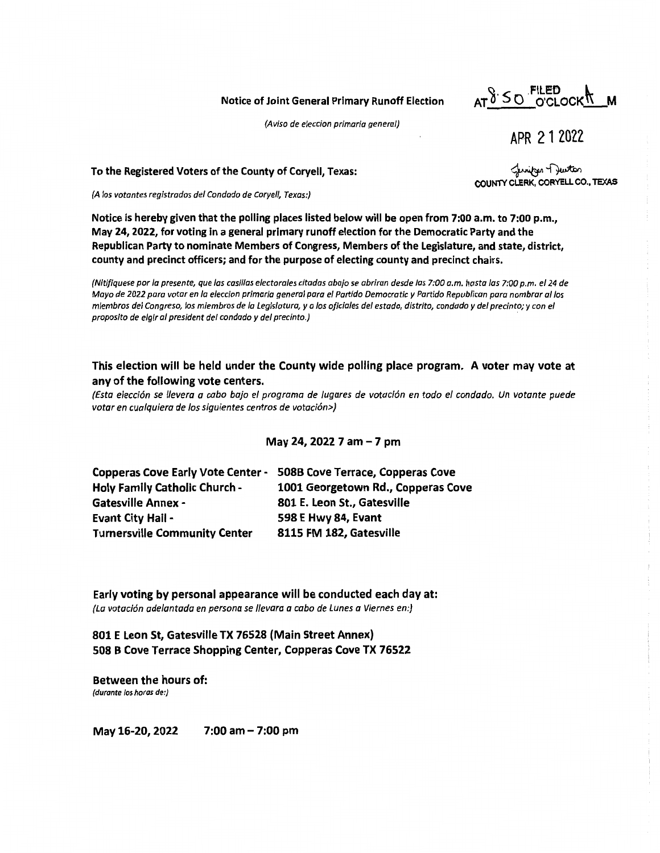Notice of Joint General Primary Runoff Election

AT 8'SO FILED **K** M

(Aviso de eleccion primaria general)

APR 21 2022

مستلوم -<br>COUNTY CLERK, CORYELL CO., TEXAS

To the Registered Voters of the County of Coryell, Texas:

(A los votantes registrados de/ Condado de Coryell, Texas:)

**Notice is hereby given that the polling places listed below will be open from 7:00 a.m. to 7:00 p.m., May 24, 2022, for voting in a general primary runoff election for the Democratic Party and the Republican Party to nominate Members of Congress, Members of the Legislature, and state, district, county and precinct officers; and for the purpose of electing county and precinct chairs.** 

(Nitifiquese por la presente, que las casil/as electora/es citadas abajo se abriran desde las 7:00 a.m. hasta las 7:00 p.m. el 24 de Mayo de 2022 para votar en la eleccion primaria general para el Partido Democratic y Partido Republican para nombrar al los miembros del Congreso, los miembros de la Legislatura, y a los oficiales del estado, distrito, condado y del precinto; y con el proposito de elgir al president del condado y del precinto.)

## **This election will be held under the County wide polling place program. A voter may vote at any of the following vote centers.**

*(Esta elecci6n se 1/evera a cabo bajo el programa de lugares de votaci6n en todo el condado. Un votante puede votar en cualquiera de las siguientes centros de votaci6n>)* 

**May 24, 2022 7 am** - **7 pm** 

| <b>Copperas Cove Early Vote Center -</b> | 508B Cove Terrace, Copperas Cove   |
|------------------------------------------|------------------------------------|
| <b>Holy Family Catholic Church -</b>     | 1001 Georgetown Rd., Copperas Cove |
| <b>Gatesville Annex -</b>                | 801 E. Leon St., Gatesville        |
| <b>Evant City Hail -</b>                 | 598 E Hwy 84, Evant                |
| <b>Turnersville Community Center</b>     | 8115 FM 182, Gatesville            |
|                                          |                                    |

**Early voting by personal appearance will be conducted each day at:**  *(La votaci6n adelantada en persona se 1/evara a cabo de Lunes a Viernes en:)* 

**801 E Leon St, Gatesville TX 76528 (Main Street Annex) 508 B Cove Terrace Shopping Center, Copperas Cove TX 76522** 

**Between the hours of:**  (durante /os horas de:)

May 16-20, 2022 7:00 am - 7:00 pm